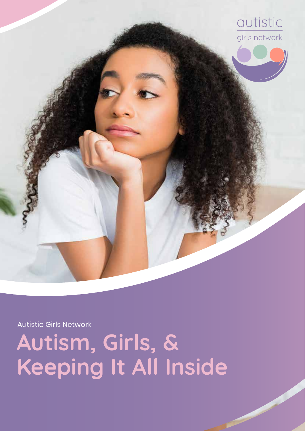

Autistic Girls Network

**Autism, Girls, & Keeping It All Inside**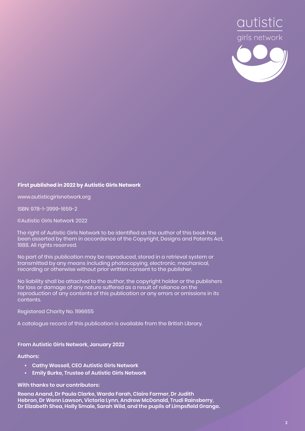

#### **First published in 2022 by Autistic Girls Network**

www.autisticgirlsnetwork.org

ISBN: 978-1-3999-1659-2

©Autistic Girls Network 2022

The right of Autistic Girls Network to be identified as the author of this book has been asserted by them in accordance of the Copyright, Designs and Patents Act, 1988. All rights reserved.

No part of this publication may be reproduced, stored in a retrieval system or transmitted by any means including photocopying, electronic, mechanical, recording or otherwise without prior written consent to the publisher.

No liability shall be attached to the author, the copyright holder or the publishers for loss or damage of any nature suffered as a result of reliance on the reproduction of any contents of this publication or any errors or omissions in its contents.

Registered Charity No. 1196655

A catalogue record of this publication is available from the British Library.

**From Autistic Girls Network, January 2022**

**Authors:** 

- **• Cathy Wassell, CEO Autistic Girls Network**
- **• Emily Burke, Trustee of Autistic Girls Network**

**With thanks to our contributors:** 

**Reena Anand, Dr Paula Clarke, Warda Farah, Claire Farmer, Dr Judith Hebron, Dr Wenn Lawson, Victoria Lynn, Andrew McDonald, Trudi Rainsberry, Dr Elizabeth Shea, Holly Smale, Sarah Wild, and the pupils of Limpsfield Grange.**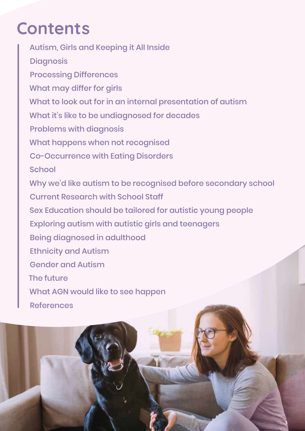# **Contents**

Autism, Girls and Keeping it All Inside **Diagnosis** Processing Differences What may differ for girls What to look out for in an internal presentation of autism What it's like to be undiagnosed for decades Problems with diagnosis What happens when not recognised Co-Occurrence with Eating Disorders **School** Why we'd like autism to be recognised before secondary school Current Research with School Staff Sex Education should be tailored for autistic young people Exploring autism with autistic girls and teenagers Being diagnosed in adulthood Ethnicity and Autism Gender and Autism The future What AGN would like to see happen References

**3**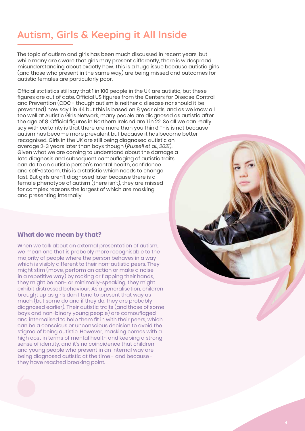# **Autism, Girls & Keeping it All Inside**

The topic of autism and girls has been much discussed in recent years, but while many are aware that girls may present differently, there is widespread misunderstanding about exactly how. This is a huge issue because autistic girls (and those who present in the same way) are being missed and outcomes for autistic females are particularly poor.

Official statistics still say that 1 in 100 people in the UK are autistic, but these figures are out of date. Official US figures from the Centers for Disease Control and Prevention (CDC - though autism is neither a disease nor should it be prevented) now say 1 in 44 but this is based on 8 year olds, and as we know all too well at Autistic Girls Network, many people are diagnosed as autistic after the age of 8. Official figures in Northern Ireland are 1 in 22. So all we can really say with certainty is that there are more than you think! This is not because autism has become more prevalent but because it has become better recognised. Girls in the UK are still being diagnosed autistic on average 2-3 years later than boys though (*Russell et al., 2021*). Given what we are coming to understand about the damage a late diagnosis and subsequent camouflaging of autistic traits can do to an autistic person's mental health, confidence and self-esteem, this is a statistic which needs to change fast. But girls aren't diagnosed later because there is a female phenotype of autism (there isn't), they are missed for complex reasons the largest of which are masking and presenting internally.

### **What do we mean by that?**

When we talk about an external presentation of autism, we mean one that is probably more recognisable to the majority of people where the person behaves in a way which is visibly different to their non-autistic peers. They might stim (move, perform an action or make a noise in a repetitive way) by rocking or flapping their hands, they might be non- or minimally-speaking, they might exhibit distressed behaviour. As a generalisation, children brought up as girls don't tend to present that way as much (but some do and if they do, they are probably diagnosed earlier). Their autistic traits (and those of some boys and non-binary young people) are camouflaged and internalised to help them fit in with their peers, which can be a conscious or unconscious decision to avoid the stigma of being autistic. However, masking comes with a high cost in terms of mental health and keeping a strong sense of identity, and it's no coincidence that children and young people who present in an internal way are being diagnosed autistic at the time - and because they have reached breaking point.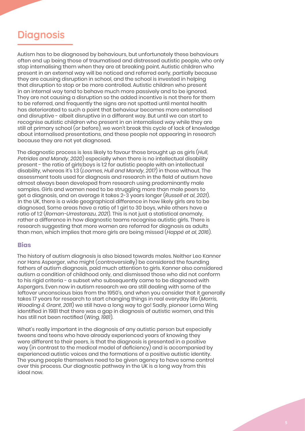# **Diagnosis**

Autism has to be diagnosed by behaviours, but unfortunately these behaviours often end up being those of traumatised and distressed autistic people, who only stop internalising them when they are at breaking point. Autistic children who present in an external way will be noticed and referred early, partially because they are causing disruption in school, and the school is invested in helping that disruption to stop or be more controlled. Autistic children who present in an internal way tend to behave much more passively and to be ignored. They are not causing a disruption so the added incentive is not there for them to be referred, and frequently the signs are not spotted until mental health has deteriorated to such a point that behaviour becomes more externalised and disruptive - albeit disruptive in a different way. But until we can start to recognise autistic children who present in an internalised way while they are still at primary school (or before), we won't break this cycle of lack of knowledge about internalised presentations, and these people not appearing in research because they are not yet diagnosed.

The diagnostic process is less likely to favour those brought up as girls (*Hull, Petrides and Mandy, 2020*) especially when there is no intellectual disability present - the ratio of girls:boys is 1:2 for autistic people with an intellectual disability, whereas it's 1:3 (*Loomes, Hull and Mandy, 2017*) in those without. The assessment tools used for diagnosis and research in the field of autism have almost always been developed from research using predominantly male samples. Girls and women need to be struggling more than male peers to get a diagnosis, and on average it takes 2-3 years longer (*Russell et al, 2021*). In the UK, there is a wide geographical difference in how likely girls are to be diagnosed. Some areas have a ratio of 1 girl to 30 boys, while others have a ratio of 1:2 (*Roman-Urrestarazu, 2021*). This is not just a statistical anomaly, rather a difference in how diagnostic teams recognise autistic girls. There is research suggesting that more women are referred for diagnosis as adults than men, which implies that more girls are being missed (*Happé et al, 2016*).

### **Bias**

The history of autism diagnosis is also biased towards males. Neither Leo Kanner nor Hans Asperger, who might (controversially) be considered the founding fathers of autism diagnosis, paid much attention to girls. Kanner also considered autism a condition of childhood only, and dismissed those who did not conform to his rigid criteria - a subset who subsequently came to be diagnosed with Aspergers. Even now in autism research we are still dealing with some of the leftover unconscious bias from the 1950's, and when you consider that it generally takes 17 years for research to start changing things in real everyday life (*Morris, Wooding & Grant, 2011*) we still have a long way to go! Sadly, pioneer Lorna Wing identified in 1981 that there was a gap in diagnosis of autistic women, and this has still not been rectified (*Wing, 1981*).

What's really important in the diagnosis of any autistic person but especially tweens and teens who have already experienced years of knowing they were different to their peers, is that the diagnosis is presented in a positive way (in contrast to the medical model of deficiency) and is accompanied by experienced autistic voices and the formations of a positive autistic identity. The young people themselves need to be given agency to have some control over this process. Our diagnostic pathway in the UK is a long way from this ideal now.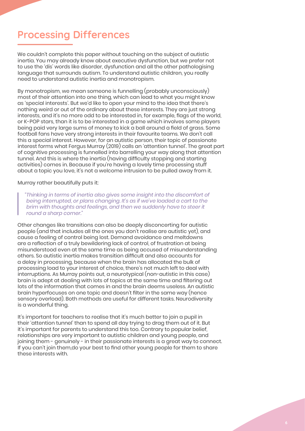# **Processing Differences**

We couldn't complete this paper without touching on the subject of autistic inertia. You may already know about executive dysfunction, but we prefer not to use the 'dis' words like disorder, dysfunction and all the other pathologising language that surrounds autism. To understand autistic children, you really need to understand autistic inertia and monotropism.

By monotropism, we mean someone is funnelling (probably unconsciously) most of their attention into one thing, which can lead to what you might know as 'special interests'. But we'd like to open your mind to the idea that there's nothing weird or out of the ordinary about these interests. They are just strong interests, and it's no more odd to be interested in, for example, flags of the world, or K-POP stars, than it is to be interested in a game which involves some players being paid very large sums of money to kick a ball around a field of grass. Some football fans have very strong interests in their favourite teams. We don't call this a special interest. However, for an autistic person, their topic of passionate interest forms what Fergus Murray (2019) calls an 'attention tunnel'. The great part of cognitive processing is funnelled into barrelling your way along that attention tunnel. And this is where the inertia (having difficulty stopping and starting activities) comes in. Because if you're having a lovely time processing stuff about a topic you love, it's not a welcome intrusion to be pulled away from it.

#### Murray rather beautifully puts it:

*"Thinking in terms of inertia also gives some insight into the discomfort of being interrupted, or plans changing. It's as if we've loaded a cart to the brim with thoughts and feelings, and then we suddenly have to steer it round a sharp corner."*

Other changes like transitions can also be deeply disconcerting for autistic people (and that includes all the ones you don't realise are autistic yet), and cause a feeling of control being lost. Demand avoidance and meltdowns are a reflection of a truly bewildering lack of control, of frustration at being misunderstood even at the same time as being accused of misunderstanding others. So autistic inertia makes transition difficult and also accounts for a delay in processing, because when the brain has allocated the bulk of processing load to your interest of choice, there's not much left to deal with interruptions. As Murray points out, a neurotypical (non-autistic in this case) brain is adept at dealing with lots of topics at the same time and filtering out lots of the information that comes in and the brain deems useless. An autistic brain hyperfocuses on one topic and doesn't filter in the same way (hence sensory overload). Both methods are useful for different tasks. Neurodiversity is a wonderful thing.

It's important for teachers to realise that it's much better to join a pupil in their 'attention tunnel' than to spend all day trying to drag them out of it. But it's important for parents to understand this too. Contrary to popular belief, relationships are very important to autistic children and young people, and joining them - genuinely - in their passionate interests is a great way to connect. If you can't join them,do your best to find other young people for them to share these interests with.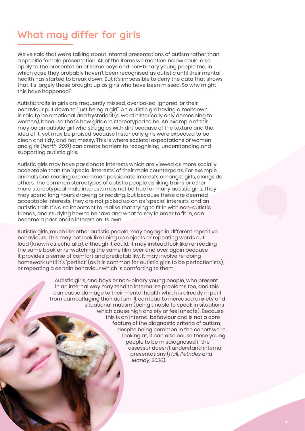# **What may differ for girls**

We've said that we're talking about internal presentations of autism rather than a specific female presentation. All of the items we mention below could also apply to the presentation of some boys and non-binary young people too, in which case they probably haven't been recognised as autistic until their mental health has started to break down. But it's impossible to deny the data that shows that it's largely those brought up as girls who have been missed. So why might this have happened?

Autistic traits in girls are frequently missed, overlooked, ignored, or their behaviour put down to "just being a girl". An autistic girl having a meltdown is said to be emotional and hysterical (a word historically only demeaning to women), because that's how girls are stereotyped to be. An example of this may be an autistic girl who struggles with dirt because of the texture and the idea of it, yet may be praised because historically girls were expected to be clean and tidy, and not messy. This is where societal expectations of women and girls (*North, 2021*) can create barriers to recognising, understanding and supporting autistic girls.

Autistic girls may have passionate interests which are viewed as more socially acceptable than the 'special interests' of their male counterparts. For example, animals and reading are common passionate interests amongst girls, alongside others. The common stereotypes of autistic people as liking trains or other more stereotypical male interests may not be true for many autistic girls. They may spend long hours drawing or reading, but because these are deemed acceptable interests, they are not picked up on as 'special interests' and an autistic trait. It's also important to realise that trying to fit in with non-autistic friends, and studying how to behave and what to say in order to fit in, can become a passionate interest on its own.

Autistic girls, much like other autistic people, may engage in different repetitive behaviours. This may not look like lining up objects or repeating words out loud (known as echolalia), although it could. It may instead look like re-reading the same book or re-watching the same film over and over again because it provides a sense of comfort and predictability. It may involve re-doing homework until it's 'perfect' (as it is common for autistic girls to be perfectionists), or repeating a certain behaviour which is comforting to them.

> Autistic girls, and boys or non-binary young people, who present in an internal way may tend to internalise problems too, and this can cause damage to their mental health which is already in peril from camouflaging their autism. It can lead to increased anxiety and situational mutism (being unable to speak in situations which cause high anxiety or feel unsafe). Because this is an internal behaviour and is not a core feature of the diagnostic criteria of autism, despite being common in the cohort we're looking at, it can also cause these young people to be misdiagnosed if the assessor doesn't understand internal presentations (*Hull, Petrides and Mandy, 2020*).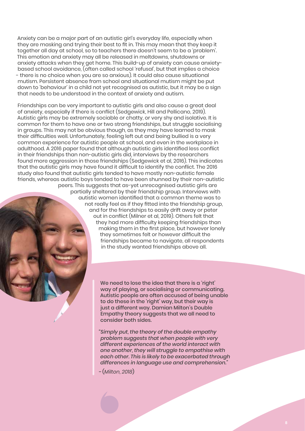Anxiety can be a major part of an autistic girl's everyday life, especially when they are masking and trying their best to fit in. This may mean that they keep it together all day at school, so to teachers there doesn't seem to be a 'problem'. This emotion and anxiety may all be released in meltdowns, shutdowns or anxiety attacks when they get home. This build-up of anxiety can cause anxietybased school avoidance, (often called school 'refusal', but that implies a choice - there is no choice when you are so anxious). It could also cause situational mutism. Persistent absence from school and situational mutism might be put down to 'behaviour' in a child not yet recognised as autistic, but it may be a sign that needs to be understood in the context of anxiety and autism.

Friendships can be very important to autistic girls and also cause a great deal of anxiety, especially if there is conflict (Sedgewick, Hill and Pellicano, 2019). Autistic girls may be extremely sociable or chatty, or very shy and isolative. It is common for them to have one or two strong friendships, but struggle socialising in groups. This may not be obvious though, as they may have learned to mask their difficulties well. Unfortunately, feeling left out and being bullied is a very common experience for autistic people at school, and even in the workplace in adulthood. A 2016 paper found that although autistic girls identified less conflict in their friendships than non-autistic girls did, interviews by the researchers found more aggression in those friendships (Sedgewick et al, 2016). This indicates that the autistic girls may have found it difficult to identify the conflict. The 2016 study also found that autistic girls tended to have mostly non-autistic female friends, whereas autistic boys tended to have been shunned by their non-autistic peers. This suggests that as-yet unrecognised autistic girls are partially sheltered by their friendship group. Interviews with

autistic women identified that a common theme was to not really feel as if they fitted into the friendship group, and for the friendships to easily drift away or peter out in conflict (Milner et al, 2019). Others felt that they had more difficulty keeping friendships than making them in the first place, but however lonely they sometimes felt or however difficult the friendships became to navigate, all respondents in the study wanted friendships above all.

> We need to lose the idea that there is a 'right' way of playing, or socialising or communicating. Autistic people are often accused of being unable to do these in the 'right' way, but their way is just a different way. Damian Milton's Double Empathy theory suggests that we all need to consider both sides.

*"Simply put, the theory of the double empathy problem suggests that when people with very different experiences of the world interact with one another, they will struggle to empathise with each other. This is likely to be exacerbated through differences in language use and comprehension."* 

*-* (*Milton, 2018*)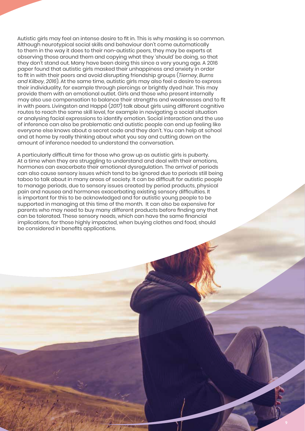Autistic girls may feel an intense desire to fit in. This is why masking is so common. Although neurotypical social skills and behaviour don't come automatically to them in the way it does to their non-autistic peers, they may be experts at observing those around them and copying what they 'should' be doing, so that they don't stand out. Many have been doing this since a very young age. A 2016 paper found that autistic girls masked their unhappiness and anxiety in order to fit in with their peers and avoid disrupting friendship groups (*Tierney, Burns and Kilbey, 2016*). At the same time, autistic girls may also feel a desire to express their individuality, for example through piercings or brightly dyed hair. This may provide them with an emotional outlet. Girls and those who present internally may also use compensation to balance their strengths and weaknesses and to fit in with peers. Livingston and Happé (*2017*) talk about girls using different cognitive routes to reach the same skill level, for example in navigating a social situation or analysing facial expressions to identify emotion. Social interaction and the use of inference can also be problematic and autistic people can end up feeling like everyone else knows about a secret code and they don't. You can help at school and at home by really thinking about what you say and cutting down on the amount of inference needed to understand the conversation.

A particularly difficult time for those who grow up as autistic girls is puberty. At a time when they are struggling to understand and deal with their emotions, hormones can exacerbate their emotional dysregulation. The arrival of periods can also cause sensory issues which tend to be ignored due to periods still being taboo to talk about in many areas of society. It can be difficult for autistic people to manage periods, due to sensory issues created by period products, physical pain and nausea and hormones exacerbating existing sensory difficulties. It is important for this to be acknowledged and for autistic young people to be supported in managing at this time of the month. It can also be expensive for parents who may need to buy many different products before finding any that can be tolerated. These sensory needs, which can have the same financial implications, for those highly impacted, when buying clothes and food, should be considered in benefits applications.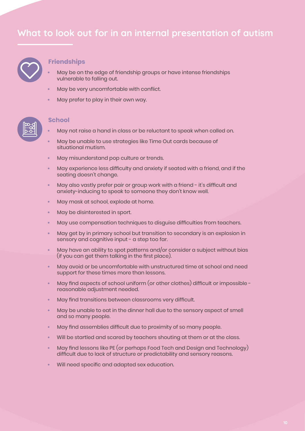

### **Friendships**

- **•** May be on the edge of friendship groups or have intense friendships vulnerable to falling out.
- **•** May be very uncomfortable with conflict.
- **•** May prefer to play in their own way.



#### **School**

- **•** May not raise a hand in class or be reluctant to speak when called on.
- **•** May be unable to use strategies like Time Out cards because of situational mutism.
- **•** May misunderstand pop culture or trends.
- **•** May experience less difficulty and anxiety if seated with a friend, and if the seating doesn't change.
- **•** May also vastly prefer pair or group work with a friend it's difficult and anxiety-inducing to speak to someone they don't know well.
- **•** May mask at school, explode at home.
- **•** May be disinterested in sport.
- **•** May use compensation techniques to disguise difficulties from teachers.
- **•** May get by in primary school but transition to secondary is an explosion in sensory and cognitive input - a step too far.
- **•** May have an ability to spot patterns and/or consider a subject without bias (if you can get them talking in the first place).
- **•** May avoid or be uncomfortable with unstructured time at school and need support for these times more than lessons.
- **•** May find aspects of school uniform (or other clothes) difficult or impossible reasonable adjustment needed.
- **•** May find transitions between classrooms very difficult.
- **•** May be unable to eat in the dinner hall due to the sensory aspect of smell and so many people.
- **•** May find assemblies difficult due to proximity of so many people.
- **•** Will be startled and scared by teachers shouting at them or at the class.
- **•** May find lessons like PE (or perhaps Food Tech and Design and Technology) difficult due to lack of structure or predictability and sensory reasons.
- **•** Will need specific and adapted sex education.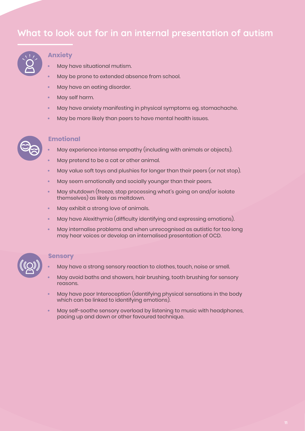

### **Anxiety**

- **•** May have situational mutism.
- **•** May be prone to extended absence from school.
- **•** May have an eating disorder.
- **•** May self harm.
- **•** May have anxiety manifesting in physical symptoms eg. stomachache.
- **•** May be more likely than peers to have mental health issues.



### **Emotional**

- **•** May experience intense empathy (including with animals or objects).
- **•** May pretend to be a cat or other animal.
- **•** May value soft toys and plushies for longer than their peers (or not stop).
- **•** May seem emotionally and socially younger than their peers.
- **•** May shutdown (freeze, stop processing what's going on and/or isolate themselves) as likely as meltdown.
- **•** May exhibit a strong love of animals.
- **•** May have Alexithymia (difficulty identifying and expressing emotions).
- **•** May internalise problems and when unrecognised as autistic for too long may hear voices or develop an internalised presentation of OCD.



#### **Sensory**

- **•** May have a strong sensory reaction to clothes, touch, noise or smell.
- **•** May avoid baths and showers, hair brushing, tooth brushing for sensory reasons.
- **•** May have poor Interoception (identifying physical sensations in the body which can be linked to identifying emotions).
- **•** May self-soothe sensory overload by listening to music with headphones, pacing up and down or other favoured technique.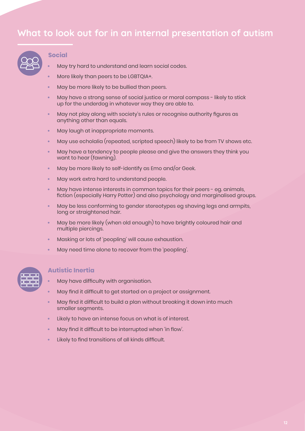

### **Social**

- **•** May try hard to understand and learn social codes.
- **•** More likely than peers to be LGBTQIA+.
- **•** May be more likely to be bullied than peers.
- **•** May have a strong sense of social justice or moral compass likely to stick up for the underdog in whatever way they are able to.
- **•** May not play along with society's rules or recognise authority figures as anything other than equals.
- **•** May laugh at inappropriate moments.
- **•** May use echolalia (repeated, scripted speech) likely to be from TV shows etc.
- **•** May have a tendency to people please and give the answers they think you want to hear (fawning).
- **•** May be more likely to self-identify as Emo and/or Geek.
- **•** May work extra hard to understand people.
- **•** May have intense interests in common topics for their peers eg. animals, fiction (especially Harry Potter) and also psychology and marginalised groups.
- **•** May be less conforming to gender stereotypes eg shaving legs and armpits, long or straightened hair.
- **•** May be more likely (when old enough) to have brightly coloured hair and multiple piercings.
- **•** Masking or lots of 'peopling' will cause exhaustion.
- **•** May need time alone to recover from the 'peopling'.



### **Autistic Inertia**

- **•** May have difficulty with organisation.
- **•** May find it difficult to get started on a project or assignment.
- **•** May find it difficult to build a plan without breaking it down into much smaller segments.
- **•** Likely to have an intense focus on what is of interest.
- **•** May find it difficult to be interrupted when 'in flow'.
- **•** Likely to find transitions of all kinds difficult.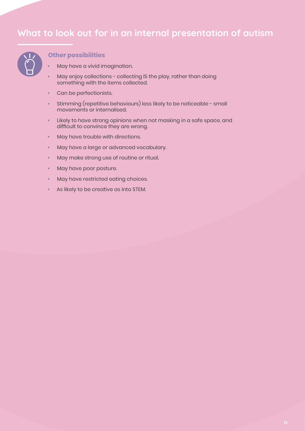

### **Other possibilities**

- **•** May have a vivid imagination.
- **•** May enjoy collections collecting IS the play, rather than doing something with the items collected.
- **•** Can be perfectionists.
- **•** Stimming (repetitive behaviours) less likely to be noticeable small movements or internalised.
- **•** Likely to have strong opinions when not masking in a safe space, and difficult to convince they are wrong.
- **•** May have trouble with directions.
- **•** May have a large or advanced vocabulary.
- **•** May make strong use of routine or ritual.
- **•** May have poor posture.
- **•** May have restricted eating choices.
- **•** As likely to be creative as into STEM.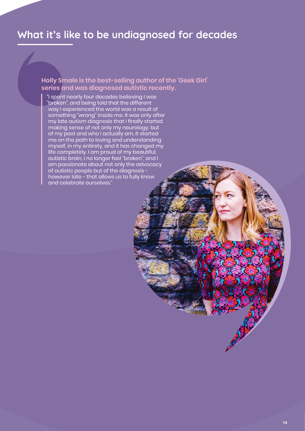# **What it's like to be undiagnosed for decades**

**Holly Smale is the best-selling author of the 'Geek Girl' series and was diagnosed autistic recently.**

"I spent nearly four decades believing I was "broken", and being told that the different way I experienced the world was a result of something "wrong" inside me. It was only after my late autism diagnosis that I finally started making sense of not only my neurology, but of my past and who I actually am. It started me on the path to loving and understanding myself, in my entirety, and it has changed my life completely. I am proud of my beautiful, autistic brain, I no longer feel "broken", and I am passionate about not only the advocacy of autistic people but of the diagnosis however late - that allows us to fully know and celebrate ourselves."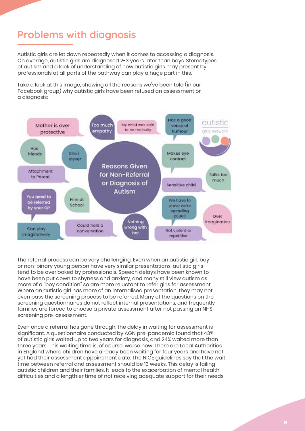# **Problems with diagnosis**

Autistic girls are let down repeatedly when it comes to accessing a diagnosis. On average, autistic girls are diagnosed 2-3 years later than boys. Stereotypes of autism and a lack of understanding of how autistic girls may present by professionals at all parts of the pathway can play a huge part in this.

Take a look at this image, showing all the reasons we've been told (in our Facebook group) why autistic girls have been refused an assessment or a diagnosis:



The referral process can be very challenging. Even when an autistic girl, boy or non-binary young person have very similar presentations, autistic girls tend to be overlooked by professionals. Speech delays have been known to have been put down to shyness and anxiety, and many still view autism as more of a "boy condition" so are more reluctant to refer girls for assessment. Where an autistic girl has more of an internalised presentation, they may not even pass the screening process to be referred. Many of the questions on the screening questionnaires do not reflect internal presentations, and frequently families are forced to choose a private assessment after not passing an NHS screening pre-assessment.

Even once a referral has gone through, the delay in waiting for assessment is significant. A questionnaire conducted by AGN pre-pandemic found that 43% of autistic girls waited up to two years for diagnosis, and 24% waited more than three years. This waiting time is, of course, worse now. There are Local Authorities in England where children have already been waiting for four years and have not yet had their assessment appointment date. The NICE guidelines say that the wait time between referral and assessment should be 13 weeks. This delay is failing autistic children and their families. It leads to the exacerbation of mental health difficulties and a lengthier time of not receiving adequate support for their needs.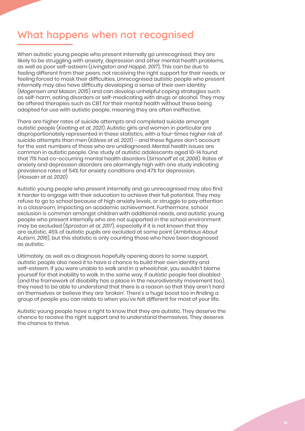# **What happens when not recognised**

When autistic young people who present internally go unrecognised, they are likely to be struggling with anxiety, depression and other mental health problems, as well as poor self-esteem (*Livingston and Happé, 2017*). This can be due to feeling different from their peers, not receiving the right support for their needs, or feeling forced to mask their difficulties. Unrecognised autistic people who present internally may also have difficulty developing a sense of their own identity (*Mogensen and Mason, 2015*) and can develop unhelpful coping strategies such as self-harm, eating disorders or self-medicating with drugs or alcohol. They may be offered therapies such as CBT for their mental health without these being adapted for use with autistic people, meaning they are often ineffective.

There are higher rates of suicide attempts and completed suicide amongst autistic people (*Keating et al, 2021*). Autistic girls and women in particular are disproportionately represented in these statistics, with a four-times higher risk of suicide attempts than men (*Kõlves et al, 2021*) – and these figures don't account for the vast numbers of those who are undiagnosed. Mental health issues are common in autistic people. One study of autistic adolescents aged 10-14 found that 71% had co-occurring mental health disorders (*Simonoff et al, 2008*). Rates of anxiety and depression disorders are alarmingly high with one study indicating prevalence rates of 54% for anxiety conditions and 47% for depression. (*Hossain et al, 2020*)

Autistic young people who present internally and go unrecognised may also find it harder to engage with their education to achieve their full potential. They may refuse to go to school because of high anxiety levels, or struggle to pay attention in a classroom, impacting on academic achievement. Furthermore, school exclusion is common amongst children with additional needs, and autistic young people who present internally who are not supported in the school environment may be excluded (*Sproston et al, 2017*), especially if it is not known that they are autistic. 45% of autistic pupils are excluded at some point (*Ambitious About Autism, 2016*), but this statistic is only counting those who have been diagnosed as autistic.

Ultimately, as well as a diagnosis hopefully opening doors to some support, autistic people also need it to have a chance to build their own identity and self-esteem. If you were unable to walk and in a wheelchair, you wouldn't blame yourself for that inability to walk. In the same way, if autistic people feel disabled (and the framework of disability has a place in the neurodiversity movement too), they need to be able to understand that there is a reason so that they aren't hard on themselves or believe they are 'broken'. There's a huge boost too in finding a group of people you can relate to when you've felt different for most of your life.

Autistic young people have a right to know that they are autistic. They deserve the chance to receive the right support and to understand themselves. They deserve the chance to thrive.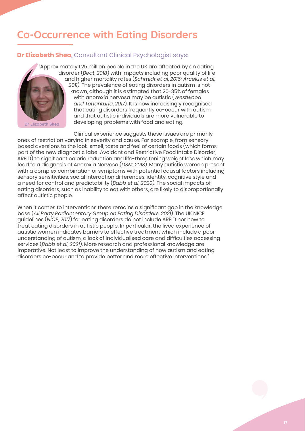# **Co-Occurrence with Eating Disorders**

### **Dr Elizabeth Shea,** Consultant Clinical Psychologist says:

**Dr Elizabeth Shea**

"Approximately 1.25 million people in the UK are affected by an eating disorder (*Beat, 2018*) with impacts including poor quality of life and higher mortality rates (*Schmidt et al, 2016; Arcelus et al, 2011*). The prevalence of eating disorders in autism is not known, although it is estimated that 20-35% of females with anorexia nervosa may be autistic (*Westwood and Tchanturia, 2017*). It is now increasingly recognised that eating disorders frequently co-occur with autism and that autistic individuals are more vulnerable to developing problems with food and eating.

Clinical experience suggests these issues are primarily ones of restriction varying in severity and cause. For example, from sensorybased aversions to the look, smell, taste and feel of certain foods (which forms part of the new diagnostic label Avoidant and Restrictive Food Intake Disorder, ARFID) to significant calorie reduction and life-threatening weight loss which may lead to a diagnosis of Anorexia Nervosa (*DSM, 2013*). Many autistic women present with a complex combination of symptoms with potential causal factors including sensory sensitivities, social interaction differences, identity, cognitive style and a need for control and predictability (*Babb et al, 2020*). The social impacts of eating disorders, such as inability to eat with others, are likely to disproportionally affect autistic people.

When it comes to interventions there remains a significant gap in the knowledge base (*All Party Parliamentary Group on Eating Disorders, 2021*). The UK NICE guidelines (*NICE, 2017*) for eating disorders do not include ARFID nor how to treat eating disorders in autistic people. In particular, the lived experience of autistic women indicates barriers to effective treatment which include a poor understanding of autism, a lack of individualised care and difficulties accessing services (*Babb et al, 2021*). More research and professional knowledge are imperative. Not least to improve the understanding of how autism and eating disorders co-occur and to provide better and more effective interventions."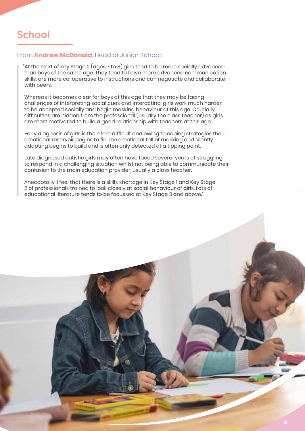# **School**

### From **Andrew McDonald,** Head of Junior School:

"At the start of Key Stage 2 (ages 7 to 8) girls tend to be more socially advanced than boys of the same age. They tend to have more advanced communication skills, are more co-operative to instructions and can negotiate and collaborate with peers.

Whereas it becomes clear for boys at this age that they may be facing challenges of interpreting social cues and interacting, girls work much harder to be accepted socially and begin masking behaviour at this age. Crucially, difficulties are hidden from the professional (usually the class teacher) as girls are most motivated to build a good relationship with teachers at this age.

Early diagnosis of girls is therefore difficult and owing to coping strategies their emotional reservoir begins to fill. The emotional toll of masking and silently adapting begins to build and is often only detected at a tipping point.

Late diagnosed autistic girls may often have faced several years of struggling to respond in a challenging situation whilst not being able to communicate their confusion to the main education provider, usually a class teacher.

Anecdotally, I feel that there is a skills shortage in Key Stage 1 and Key Stage 2 of professionals trained to look closely at social behaviour of girls. Lots of educational literature tends to be focussed at Key Stage 3 and above."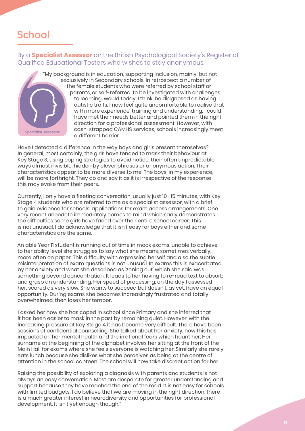# **School**

### By a **Specialist Assessor** on the British Psychological Society's Register of Qualified Educational Testers who wishes to stay anonymous.



"My background is in education, supporting Inclusion, mainly, but not exclusively in Secondary schools. In retrospect a number of the female students who were referred by school staff or parents, or self-referred, to be investigated with challenges to learning, would today, I think, be diagnosed as having autistic traits. I now feel quite uncomfortable to realise that with more experience, training and understanding, I could have met their needs better and pointed them in the right direction for a professional assessment. However, with cash-strapped CAMHS services, schools increasingly meet a different barrier.

Have I detected a difference in the way boys and girls present themselves? In general, most certainly, the girls have tended to mask their behaviour at Key Stage 3, using coping strategies to avoid notice, their often unpredictable ways almost invisible, hidden by clever phrases or anonymous action. Their characteristics appear to be more diverse to me. The boys, in my experience, will be more forthright. They do and say it as it is irrespective of the response this may evoke from their peers.

Currently, I only have a fleeting conversation, usually just 10 -15 minutes, with Key Stage 4 students who are referred to me as a specialist assessor, with a brief to gain evidence for schools' applications for exam access arrangements. One very recent anecdote immediately comes to mind which sadly demonstrates the difficulties some girls have faced over their entire school career. This is not unusual. I do acknowledge that it isn't easy for boys either and some characteristics are the same.

An able Year 11 student is running out of time in mock exams, unable to achieve to her ability level she struggles to say what she means, sometimes verbally, more often on paper. This difficulty with expressing herself and also the subtle misinterpretation of exam questions is not unusual. In exams this is exacerbated by her anxiety and what she described as 'zoning out' which she said was something beyond concentration. It leads to her having to re-read text to absorb and grasp an understanding. Her speed of processing, on the day I assessed her, scored as very slow. She wants to succeed but doesn't, as yet, have an equal opportunity. During exams she becomes increasingly frustrated and totally overwhelmed, then loses her temper.

I asked her how she has coped in school since Primary and she inferred that it has been easier to mask in the past by remaining quiet. However, with the increasing pressure at Key Stage 4 it has become very difficult. There have been sessions of confidential counselling. She talked about her anxiety, how this has impacted on her mental health and the irrational fears which haunt her. Her surname at the beginning of the alphabet involves her sitting at the front of the Main Hall for exams where she feels everyone is watching her. Similarly she rarely eats lunch because she dislikes what she perceives as being at the centre of attention in the school canteen. The school will now take discreet action for her.

Raising the possibility of exploring a diagnosis with parents and students is not always an easy conversation. Most are desperate for greater understanding and support because they have reached the end of the road. It is not easy for schools with limited budgets. I do believe that we are moving in the right direction, there is a much greater interest in neurodiversity and opportunities for professional development. It isn't yet enough though."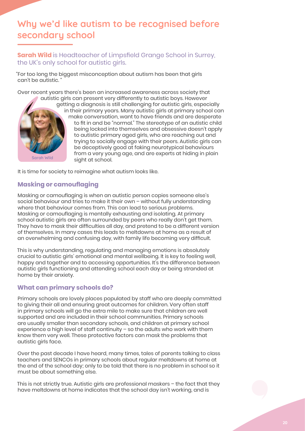# **Why we'd like autism to be recognised before secondary school**

**Sarah Wild** is Headteacher of Limpsfield Grange School in Surrey, the UK's only school for autistic girls.

"For too long the biggest misconception about autism has been that girls can't be autistic. "

Over recent years there's been an increased awareness across society that autistic girls can present very differently to autistic boys. However



getting a diagnosis is still challenging for autistic girls, especially in their primary years. Many autistic girls at primary school can make conversation, want to have friends and are desperate to fit in and be "normal." The stereotype of an autistic child being locked into themselves and obsessive doesn't apply to autistic primary aged girls, who are reaching out and trying to socially engage with their peers. Autistic girls can be deceptively good at faking neurotypical behaviours from a very young age, and are experts at hiding in plain sight at school.

It is time for society to reimagine what autism looks like.

### **Masking or camouflaging**

Masking or camouflaging is when an autistic person copies someone else's social behaviour and tries to make it their own – without fully understanding where that behaviour comes from. This can lead to serious problems. Masking or camouflaging is mentally exhausting and isolating. At primary school autistic girls are often surrounded by peers who really don't get them. They have to mask their difficulties all day, and pretend to be a different version of themselves. In many cases this leads to meltdowns at home as a result of an overwhelming and confusing day, with family life becoming very difficult.

This is why understanding, regulating and managing emotions is absolutely crucial to autistic girls' emotional and mental wellbeing. It is key to feeling well, happy and together and to accessing opportunities. It's the difference between autistic girls functioning and attending school each day or being stranded at home by their anxiety.

### **What can primary schools do?**

Primary schools are lovely places populated by staff who are deeply committed to giving their all and ensuring great outcomes for children. Very often staff in primary schools will go the extra mile to make sure that children are well supported and are included in their school communities. Primary schools are usually smaller than secondary schools, and children at primary school experience a high level of staff continuity – so the adults who work with them know them very well. These protective factors can mask the problems that autistic girls face.

Over the past decade I have heard, many times, tales of parents talking to class teachers and SENCOs in primary schools about regular meltdowns at home at the end of the school day; only to be told that there is no problem in school so it must be about something else.

This is not strictly true. Autistic girls are professional maskers – the fact that they have meltdowns at home indicates that the school day isn't working, and is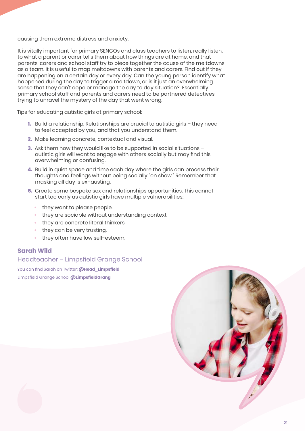causing them extreme distress and anxiety.

It is vitally important for primary SENCOs and class teachers to listen, really listen, to what a parent or carer tells them about how things are at home, and that parents, carers and school staff try to piece together the cause of the meltdowns as a team. It is useful to map meltdowns with parents and carers. Find out if they are happening on a certain day or every day. Can the young person identify what happened during the day to trigger a meltdown, or is it just an overwhelming sense that they can't cope or manage the day to day situation? Essentially primary school staff and parents and carers need to be partnered detectives trying to unravel the mystery of the day that went wrong.

Tips for educating autistic girls at primary school:

- **1.** Build a relationship. Relationships are crucial to autistic girls they need to feel accepted by you, and that you understand them.
- **2.** Make learning concrete, contextual and visual.
- **3.** Ask them how they would like to be supported in social situations autistic girls will want to engage with others socially but may find this overwhelming or confusing.
- **4.** Build in quiet space and time each day where the girls can process their thoughts and feelings without being socially "on show." Remember that masking all day is exhausting.
- **5.** Create some bespoke sex and relationships opportunities. This cannot start too early as autistic girls have multiple vulnerabilities:
	- **•** they want to please people.
	- **•** they are sociable without understanding context.
	- **•** they are concrete literal thinkers.
	- **•** they can be very trusting.
	- **•** they often have low self-esteem.

### **Sarah Wild**

Headteacher – Limpsfield Grange School

You can find Sarah on Twitter: **@Head\_Limpsfield** Limpsfield Grange School **@LimpsfieldGrang**

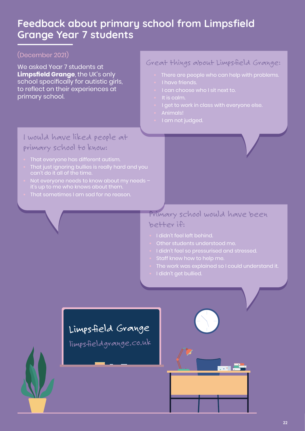# **Feedback about primary school from Limpsfield Grange Year 7 students**

### (December 2021)

We asked Year 7 students at **Limpsfield Grange**, the UK's only school specifically for autistic girls, to reflect on their experiences at primary school.

### Great things about Limpsfield Grange:

- **•** There are people who can help with problems.
- **•** I have friends.
- 
- **•** It is calm.
- **•** I get to work in class with everyone else.
- **•** Animals!
- **•** I am not judged.

### I would have liked people at primary school to know:

- **•** That everyone has different autism.
- **•** That just ignoring bullies is really hard and you
- **•** Not everyone needs to know about my needs it's up to me who knows about them.
- **•** That sometimes I am sad for no reason.

### Primary school would have been better if:

- **•** I didn't feel left behind.
- **•** Other students understood me.
- **•** I didn't feel so pressurised and stressed.
- **•** Staff knew how to help me.
- **•** The work was explained so I could understand it.
- **•** I didn't get bullied.

# Limpsfield Grange

limpsfieldgrange.co.uk

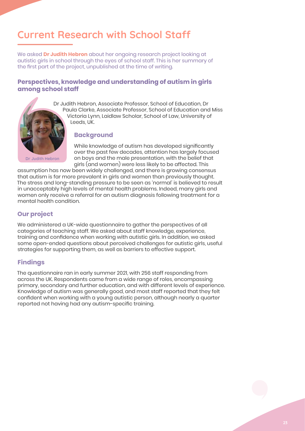# **Current Research with School Staff**

We asked **Dr Judith Hebron** about her ongoing research project looking at autistic girls in school through the eyes of school staff. This is her summary of the first part of the project, unpublished at the time of writing.

### **Perspectives, knowledge and understanding of autism in girls among school staff**



Dr Judith Hebron, Associate Professor, School of Education, Dr Paula Clarke, Associate Professor, School of Education and Miss Victoria Lynn, Laidlaw Scholar, School of Law, University of Leeds, UK.

### **Background**

While knowledge of autism has developed significantly over the past few decades, attention has largely focused on boys and the male presentation, with the belief that girls (and women) were less likely to be affected. This

assumption has now been widely challenged, and there is growing consensus that autism is far more prevalent in girls and women than previously thought. The stress and long-standing pressure to be seen as 'normal' is believed to result in unacceptably high levels of mental health problems. Indeed, many girls and women only receive a referral for an autism diagnosis following treatment for a mental health condition.

### **Our project**

We administered a UK-wide questionnaire to gather the perspectives of all categories of teaching staff. We asked about staff knowledge, experience, training and confidence when working with autistic girls. In addition, we asked some open-ended questions about perceived challenges for autistic girls, useful strategies for supporting them, as well as barriers to effective support.

### **Findings**

The questionnaire ran in early summer 2021, with 256 staff responding from across the UK. Respondents came from a wide range of roles, encompassing primary, secondary and further education, and with different levels of experience. Knowledge of autism was generally good, and most staff reported that they felt confident when working with a young autistic person, although nearly a quarter reported not having had any autism-specific training.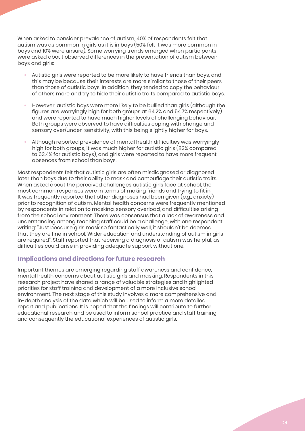When asked to consider prevalence of autism, 40% of respondents felt that autism was as common in girls as it is in boys (50% felt it was more common in boys and 10% were unsure). Some worrying trends emerged when participants were asked about observed differences in the presentation of autism between boys and girls:

- **•** Autistic girls were reported to be more likely to have friends than boys, and this may be because their interests are more similar to those of their peers than those of autistic boys. In addition, they tended to copy the behaviour of others more and try to hide their autistic traits compared to autistic boys.
- **•** However, autistic boys were more likely to be bullied than girls (although the figures are worryingly high for both groups at 64.2% and 54.7% respectively) and were reported to have much higher levels of challenging behaviour. Both groups were observed to have difficulties coping with change and sensory over/under-sensitivity, with this being slightly higher for boys.
- **•** Although reported prevalence of mental health difficulties was worryingly high for both groups, it was much higher for autistic girls (83% compared to 63.4% for autistic boys), and girls were reported to have more frequent absences from school than boys.

Most respondents felt that autistic girls are often misdiagnosed or diagnosed later than boys due to their ability to mask and camouflage their autistic traits. When asked about the perceived challenges autistic girls face at school, the most common responses were in terms of making friends and trying to fit in. It was frequently reported that other diagnoses had been given (e.g., anxiety) prior to recognition of autism. Mental health concerns were frequently mentioned by respondents in relation to masking, sensory overload, and difficulties arising from the school environment. There was consensus that a lack of awareness and understanding among teaching staff could be a challenge, with one respondent writing: "Just because girls mask so fantastically well, it shouldn't be deemed that they are fine in school. Wider education and understanding of autism in girls are required". Staff reported that receiving a diagnosis of autism was helpful, as difficulties could arise in providing adequate support without one.

### **Implications and directions for future research**

Important themes are emerging regarding staff awareness and confidence, mental health concerns about autistic girls and masking. Respondents in this research project have shared a range of valuable strategies and highlighted priorities for staff training and development of a more inclusive school environment. The next stage of this study involves a more comprehensive and in-depth analysis of the data which will be used to inform a more detailed report and publications. It is hoped that the findings will contribute to further educational research and be used to inform school practice and staff training, and consequently the educational experiences of autistic girls.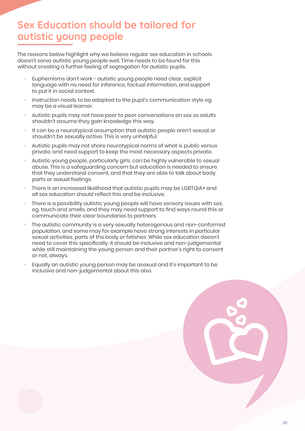# **Sex Education should be tailored for autistic young people**

The reasons below highlight why we believe regular sex education in schools doesn't serve autistic young people well. Time needs to be found for this without creating a further feeling of segregation for autistic pupils.

- **•** Euphemisms don't work autistic young people need clear, explicit language with no need for inference, factual information, and support to put it in social context.
- **•** Instruction needs to be adapted to the pupil's communication style eg. may be a visual learner.
- **•** Autistic pupils may not have peer to peer conversations on sex so adults shouldn't assume they gain knowledge this way.
- **•** It can be a neurotypical assumption that autistic people aren't sexual or shouldn't be sexually active. This is very unhelpful.
- **•** Autistic pupils may not share neurotypical norms of what is public versus private, and need support to keep the most necessary aspects private.
- **•** Autistic young people, particularly girls, can be highly vulnerable to sexual abuse. This is a safeguarding concern but education is needed to ensure that they understand consent, and that they are able to talk about body parts or sexual feelings.
- **•** There is an increased likelihood that autistic pupils may be LGBTQIA+ and all sex education should reflect this and be inclusive.
- **•** There is a possibility autistic young people will have sensory issues with sex, eg. touch and smells, and they may need support to find ways round this or communicate their clear boundaries to partners.
- **•** The autistic community is a very sexually heterogenous and non-conformist population, and some may for example have strong interests in particular sexual activities, parts of the body or fetishes. While sex education doesn't need to cover this specifically, it should be inclusive and non-judgemental while still maintaining the young person and their partner's right to consent or not, always.
- **•** Equally an autistic young person may be asexual and it's important to be inclusive and non-judgemental about this also.

|  |   | $\overline{\phantom{a}}$ |  |
|--|---|--------------------------|--|
|  | ┗ |                          |  |
|  |   |                          |  |
|  |   |                          |  |
|  |   |                          |  |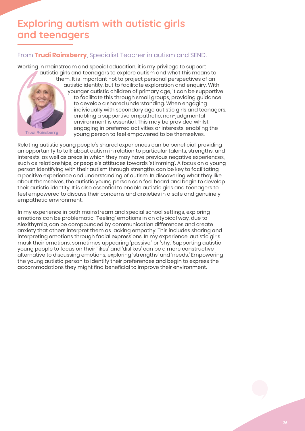# **Exploring autism with autistic girls and teenagers**

### From **Trudi Rainsberry**, Specialist Teacher in autism and SEND.

Working in mainstream and special education, it is my privilege to support autistic girls and teenagers to explore autism and what this means to them. It is important not to project personal perspectives of an autistic identity, but to facilitate exploration and enquiry. With younger autistic children of primary age, it can be supportive to facilitate this through small groups, providing guidance to develop a shared understanding. When engaging individually with secondary age autistic girls and teenagers, enabling a supportive empathetic, non-judgmental environment is essential. This may be provided whilst engaging in preferred activities or interests, enabling the young person to feel empowered to be themselves. **Trudi Rainsberry**

Relating autistic young people's shared experiences can be beneficial, providing an opportunity to talk about autism in relation to particular talents, strengths, and interests, as well as areas in which they may have previous negative experiences, such as relationships, or people's attitudes towards 'stimming'. A focus on a young person identifying with their autism through strengths can be key to facilitating a positive experience and understanding of autism. In discovering what they like about themselves, the autistic young person can feel heard and begin to develop their autistic identity. It is also essential to enable autistic girls and teenagers to feel empowered to discuss their concerns and anxieties in a safe and genuinely empathetic environment.

In my experience in both mainstream and special school settings, exploring emotions can be problematic. 'Feeling' emotions in an atypical way, due to Alexithymia, can be compounded by communication differences and create anxiety that others interpret them as lacking empathy. This includes sharing and interpreting emotions through facial expressions. In my experience, autistic girls mask their emotions, sometimes appearing 'passive,' or 'shy.' Supporting autistic young people to focus on their 'likes' and 'dislikes' can be a more constructive alternative to discussing emotions, exploring 'strengths' and 'needs.' Empowering the young autistic person to identify their preferences and begin to express the accommodations they might find beneficial to improve their environment.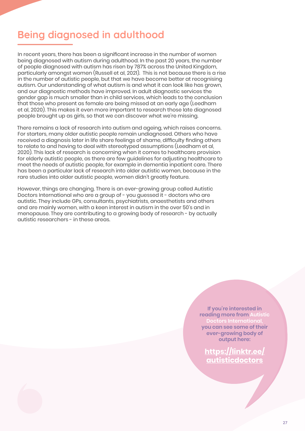# **Being diagnosed in adulthood**

In recent years, there has been a significant increase in the number of women being diagnosed with autism during adulthood. In the past 20 years, the number of people diagnosed with autism has risen by 787% across the United Kingdom, particularly amongst women (Russell et al, 2021). This is not because there is a rise in the number of autistic people, but that we have become better at recognising autism. Our understanding of what autism is and what it can look like has grown, and our diagnostic methods have improved. In adult diagnostic services the gender gap is much smaller than in child services, which leads to the conclusion that those who present as female are being missed at an early age (Leedham et al, 2020). This makes it even more important to research those late diagnosed people brought up as girls, so that we can discover what we're missing.

There remains a lack of research into autism and ageing, which raises concerns. For starters, many older autistic people remain undiagnosed. Others who have received a diagnosis later in life share feelings of shame, difficulty finding others to relate to and having to deal with stereotyped assumptions (Leedham et al, 2020). This lack of research is concerning when it comes to healthcare provision for elderly autistic people, as there are few guidelines for adjusting healthcare to meet the needs of autistic people, for example in dementia inpatient care. There has been a particular lack of research into older autistic women, because in the rare studies into older autistic people, women didn't greatly feature.

However, things are changing. There is an ever-growing group called Autistic Doctors International who are a group of - you guessed it - doctors who are autistic. They include GPs, consultants, psychiatrists, anaesthetists and others and are mainly women, with a keen interest in autism in the over 50's and in menopause. They are contributing to a growing body of research - by actually autistic researchers - in these areas.

> **If you're interested in reading more from Autistic**  tors Internati **you can see some of their ever-growing body of output here:**

**https://linktr.ee/ autisticdoctors**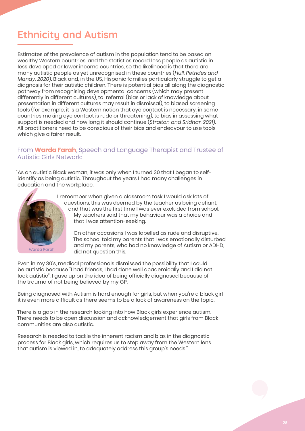# **Ethnicity and Autism**

Estimates of the prevalence of autism in the population tend to be based on wealthy Western countries, and the statistics record less people as autistic in less developed or lower income countries, so the likelihood is that there are many autistic people as yet unrecognised in these countries (*Hull, Petrides and Mandy, 2020*). Black and, in the US, Hispanic families particularly struggle to get a diagnosis for their autistic children. There is potential bias all along the diagnostic pathway from recognising developmental concerns (which may present differently in different cultures), to referral (bias or lack of knowledge about presentation in different cultures may result in dismissal), to biased screening tools (for example, it is a Western notion that eye contact is necessary, in some countries making eye contact is rude or threatening), to bias in assessing what support is needed and how long it should continue (*Straiton and Sridhar, 2021*). All practitioners need to be conscious of their bias and endeavour to use tools which give a fairer result.

### From **Warda Farah**, Speech and Language Therapist and Trustee of Autistic Girls Network:

"As an autistic Black woman, it was only when I turned 30 that I began to selfidentify as being autistic. Throughout the years I had many challenges in education and the workplace.



**Warda Farah**

I remember when given a classroom task I would ask lots of questions, this was deemed by the teacher as being defiant, and that was the first time I was ever excluded from school. My teachers said that my behaviour was a choice and that I was attention-seeking.

On other occasions I was labelled as rude and disruptive. The school told my parents that I was emotionally disturbed and my parents, who had no knowledge of Autism or ADHD, did not question this.

Even in my 30's, medical professionals dismissed the possibility that I could be autistic because "I had friends, I had done well academically and I did not look autistic". I gave up on the idea of being officially diagnosed because of the trauma of not being believed by my GP.

Being diagnosed with Autism is hard enough for girls, but when you're a black girl it is even more difficult as there seems to be a lack of awareness on the topic.

There is a gap in the research looking into how Black girls experience autism. There needs to be open discussion and acknowledgement that girls from Black communities are also autistic.

Research is needed to tackle the inherent racism and bias in the diagnostic process for Black girls, which requires us to step away from the Western lens that autism is viewed in, to adequately address this group's needs."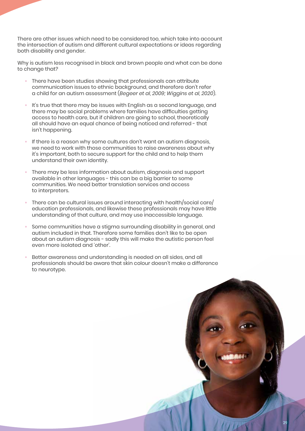There are other issues which need to be considered too, which take into account the intersection of autism and different cultural expectations or ideas regarding both disability and gender.

Why is autism less recognised in black and brown people and what can be done to change that?

- **•** There have been studies showing that professionals can attribute communication issues to ethnic background, and therefore don't refer a child for an autism assessment (*Begeer et al, 2009; Wiggins et al, 2020*).
- **•** It's true that there may be issues with English as a second language, and there may be social problems where families have difficulties getting access to health care, but if children are going to school, theoretically all should have an equal chance of being noticed and referred - that isn't happening.
- **•** If there is a reason why some cultures don't want an autism diagnosis, we need to work with those communities to raise awareness about why it's important, both to secure support for the child and to help them understand their own identity.
- **•** There may be less information about autism, diagnosis and support available in other languages - this can be a big barrier to some communities. We need better translation services and access to interpreters.
- **•** There can be cultural issues around interacting with health/social care/ education professionals, and likewise these professionals may have little understanding of that culture, and may use inaccessible language.
- **•** Some communities have a stigma surrounding disability in general, and autism included in that. Therefore some families don't like to be open about an autism diagnosis - sadly this will make the autistic person feel even more isolated and 'other'.
- **•** Better awareness and understanding is needed on all sides, and all professionals should be aware that skin colour doesn't make a difference to neurotype.

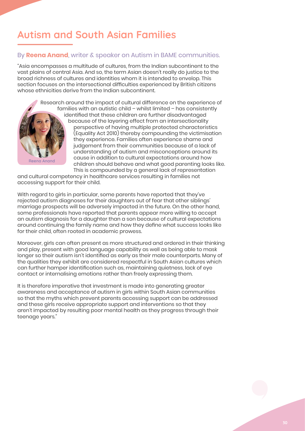# **Autism and South Asian Families**

### By **Reena Anand**, writer & speaker on Autism in BAME communities.

"Asia encompasses a multitude of cultures, from the Indian subcontinent to the vast plains of central Asia. And so, the term Asian doesn't really do justice to the broad richness of cultures and identities whom it is intended to envelop. This section focuses on the intersectional difficulties experienced by British citizens whose ethnicities derive from the Indian subcontinent.



Research around the impact of cultural difference on the experience of families with an autistic child – whilst limited – has consistently identified that these children are further disadvantaged because of the layering effect from an intersectionality perspective of having multiple protected characteristics (Equality Act 2010) thereby compounding the victimisation they experience. Families often experience shame and judgement from their communities because of a lack of understanding of autism and misconceptions around its cause in addition to cultural expectations around how children should behave and what good parenting looks like. This is compounded by a general lack of representation

and cultural competency in healthcare services resulting in families not accessing support for their child.

With regard to girls in particular, some parents have reported that they've rejected autism diagnoses for their daughters out of fear that other siblings' marriage prospects will be adversely impacted in the future. On the other hand, some professionals have reported that parents appear more willing to accept an autism diagnosis for a daughter than a son because of cultural expectations around continuing the family name and how they define what success looks like for their child, often rooted in academic prowess.

Moreover, girls can often present as more structured and ordered in their thinking and play, present with good language capability as well as being able to mask longer so their autism isn't identified as early as their male counterparts. Many of the qualities they exhibit are considered respectful in South Asian cultures which can further hamper identification such as, maintaining quietness, lack of eye contact or internalising emotions rather than freely expressing them.

It is therefore imperative that investment is made into generating greater awareness and acceptance of autism in girls within South Asian communities so that the myths which prevent parents accessing support can be addressed and these girls receive appropriate support and interventions so that they aren't impacted by resulting poor mental health as they progress through their teenage years."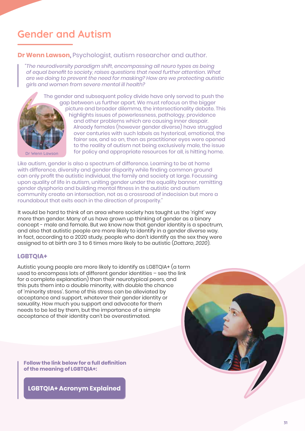# **Gender and Autism**

### **Dr Wenn Lawson,** Psychologist, autism researcher and author.

*"The neurodiversity paradigm shift, encompassing all neuro types as being of equal benefit to society, raises questions that need further attention. What are we doing to prevent the need for masking? How are we protecting autistic girls and women from severe mental ill health?* 



picture and broader dilemma, the intersectionality debate. This highlights issues of powerlessness, pathology, providence and other problems which are causing inner despair. Already females (however gender diverse) have struggled over centuries with such labels as hysterical, emotional, the fairer sex, and so on, then as practitioner eyes were opened to the reality of autism not being exclusively male, the issue for policy and appropriate resources for all, is hitting home.

Like autism, gender is also a spectrum of difference. Learning to be at home with difference, diversity and gender disparity while finding common ground can only profit the autistic individual, the family and society at large. Focussing upon quality of life in autism, uniting gender under the equality banner, remitting gender dysphoria and building mental fitness in the autistic and autism community create an intersection, not as a crossroad of indecision but more a roundabout that exits each in the direction of prosperity."

It would be hard to think of an area where society has taught us the 'right' way more than gender. Many of us have grown up thinking of gender as a binary concept - male and female. But we know now that gender identity is a spectrum, and also that autistic people are more likely to identify in a gender diverse way. In fact, according to a 2020 study, people who don't identify as the sex they were assigned to at birth are 3 to 6 times more likely to be autistic (*Dattaro, 2020*).

### **LGBTQIA+**

Autistic young people are more likely to identify as LGBTQIA+ (a term used to encompass lots of different gender identities – see the link for a complete explanation) than their neurotypical peers, and this puts them into a double minority, with double the chance of 'minority stress'. Some of this stress can be alleviated by acceptance and support, whatever their gender identity or sexuality. How much you support and advocate for them needs to be led by them, but the importance of a simple acceptance of their identity can't be overestimated.

**Follow the link below for a full definition of the meaning of LGBTQIA+:**

**LGBTQIA+ Acronym Explained**

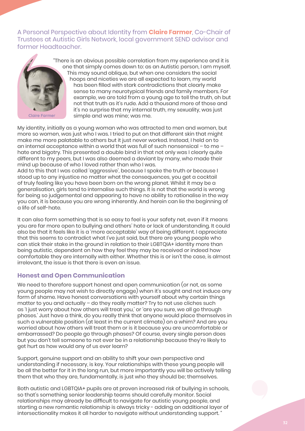A Personal Perspective about Identity from **Claire Farmer**, Co-Chair of Trustees at Autistic Girls Network, local government SEND advisor and former Headteacher.



**Claire Farmer**

"There is an obvious possible correlation from my experience and it is one that simply comes down to: as an Autistic person, I am myself. This may sound oblique, but when one considers the social hoops and niceties we are all expected to learn, my world has been filled with stark contradictions that clearly make sense to many neurotypical friends and family members. For example, we are told from a young age to tell the truth, oh but not that truth as it's rude. Add a thousand more of those and it's no surprise that my internal truth, my sexuality, was just simple and was mine; was me.

My identity, initially as a young woman who was attracted to men and women, but more so women, was just who I was. I tried to put on that different skin that might make me more palatable to others but it just never worked. Instead, I held on to an internal acceptance within a world that was full of such nonsensical – to me – hate and bigotry. This presented a double bind in that not only was I clearly quite different to my peers, but I was also deemed a deviant by many, who made their mind up because of who I loved rather than who I was.

Add to this that I was called 'aggressive', because I spoke the truth or because I stood up to any injustice no matter what the consequences, you get a cocktail of truly feeling like you have been born on the wrong planet. Whilst it may be a generalisation, girls tend to internalise such things. It is not that the world is wrong for being so judgemental and appearing to have no ability to rationalise in the way you can, it is because you are wrong inherently. And herein can lie the beginning of a life of self-hate.

It can also form something that is so easy to feel is your safety net, even if it means you are far more open to bullying and others' hate or lack of understanding. It could also be that it feels like it is a 'more acceptable' way of being different. I appreciate that this seems to contradict what I've just said, but there are young people who can stick their stake in the ground in relation to their LGBTQIA+ identity more than being autistic, dependent on how they feel they may be received or indeed how comfortable they are internally with either. Whether this is or isn't the case, is almost irrelevant, the issue is that there is even an issue.

### **Honest and Open Communication**

We need to therefore support honest and open communication (or not, as some young people may not wish to directly engage) when it's sought and not induce any form of shame. Have honest conversations with yourself about why certain things matter to you and actually – do they really matter? Try to not use cliches such as 'I just worry about how others will treat you,' or 'are you sure, we all go through phases.' Just have a think, do you really think that anyone would place themselves in such a vulnerable position (at least in the current climate) on a whim? And are you worried about how others will treat them or is it because you are uncomfortable or embarrassed? Do people go through phases? Of course, every single person does but you don't tell someone to not ever be in a relationship because they're likely to get hurt as how would any of us ever learn?

Support, genuine support and an ability to shift your own perspective and understanding if necessary, is key. Your relationships with these young people will be all the better for it in the long run, but more importantly you will be actively telling them that who they are, fundamentally, is just who they should be; themselves.

Both autistic and LGBTQIA+ pupils are at proven increased risk of bullying in schools, so that's something senior leadership teams should carefully monitor. Social relationships may already be difficult to navigate for autistic young people, and starting a new romantic relationship is always tricky - adding an additional layer of intersectionality makes it all harder to navigate without understanding support. "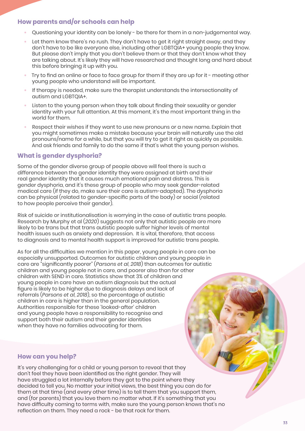### **How parents and/or schools can help**

- **•** Questioning your identity can be lonely be there for them in a non-judgemental way.
- **•** Let them know there's no rush. They don't have to get it right straight away, and they don't have to be like everyone else, including other LGBTQIA+ young people they know. But please don't imply that you don't believe them or that they don't know what they are talking about. It's likely they will have researched and thought long and hard about this before bringing it up with you.
- **•** Try to find an online or face to face group for them if they are up for it meeting other young people who understand will be important.
- **•** If therapy is needed, make sure the therapist understands the intersectionality of autism and LGBTQIA+.
- **•** Listen to the young person when they talk about finding their sexuality or gender identity with your full attention. At this moment, it's the most important thing in the world for them.
- **•** Respect their wishes if they want to use new pronouns or a new name. Explain that you might sometimes make a mistake because your brain will naturally use the old pronouns/name for a while, but that you will try to get it right as quickly as possible. And ask friends and family to do the same if that's what the young person wishes.

### **What is gender dysphoria?**

Some of the gender diverse group of people above will feel there is such a difference between the gender identity they were assigned at birth and their real gender identity that it causes much emotional pain and distress. This is gender dysphoria, and it's these group of people who may seek gender-related medical care (if they do, make sure their care is autism-adapted). The dysphoria can be physical (related to gender-specific parts of the body) or social (related to how people perceive their gender).

Risk of suicide or institutionalisation is worrying in the case of autistic trans people. Research by Murphy et al (*2020*) suggests not only that autistic people are more likely to be trans but that trans autistic people suffer higher levels of mental health issues such as anxiety and depression. It is vital, therefore, that access to diagnosis and to mental health support is improved for autistic trans people.

As for all the difficulties we mention in this paper, young people in care can be especially unsupported. Outcomes for autistic children and young people in care are "significantly poorer" (*Parsons et al, 2018*) than outcomes for autistic children and young people not in care, and poorer also than for other children with SEND in care. Statistics show that 3% of children and young people in care have an autism diagnosis but the actual figure is likely to be higher due to diagnosis delays and lack of referrals (*Parsons et al, 2018*), so the percentage of autistic children in care is higher than in the general population. Authorities responsible for these 'looked-after' children and young people have a responsibility to recognise and support both their autism and their gender identities when they have no families advocating for them.

### **How can you help?**

It's very challenging for a child or young person to reveal that they don't feel they have been identified as the right gender. They will have struggled a lot internally before they got to the point where they decided to tell you. No matter your initial views, the best thing you can do for them at that time (and every other time) is to tell them that you support them, and (for parents) that you love them no matter what. If it's something that you have difficulty coming to terms with, make sure the young person knows that's no reflection on them. They need a rock - be that rock for them.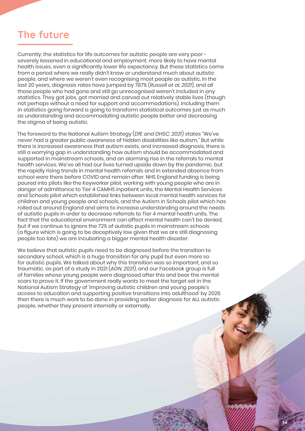# **The future**

Currently, the statistics for life outcomes for autistic people are very poor severely lessened in educational and employment, more likely to have mental health issues, even a significantly lower life expectancy. But these statistics come from a period where we really didn't know or understand much about autistic people, and where we weren't even recognising most people as autistic. In the last 20 years, diagnosis rates have jumped by 787% (*Russell et al, 2021*), and all those people who had gone and still go unrecognised weren't included in any statistics. They got jobs, got married and carved out relatively stable lives (though not perhaps without a need for support and accommodations). Including them in statistics going forward is going to transform statistical outcomes just as much as understanding and accommodating autistic people better and decreasing the stigma of being autistic.

The foreword to the National Autism Strategy (*DfE and DHSC, 2021*) states "We've never had a greater public awareness of hidden disabilities like autism." But while there is increased awareness that autism exists, and increased diagnosis, there is still a worrying gap in understanding how autism should be accommodated and supported in mainstream schools, and an alarming rise in the referrals to mental health services. We've all had our lives turned upside down by the pandemic, but the rapidly rising trends in mental health referrals and in extended absence from school were there before COVID and remain after. NHS England funding is being poured into pilots like the Keyworker pilot, working with young people who are in danger of admittance to Tier 4 CAMHS inpatient units, the Mental Health Services and Schools pilot which established links between local mental health services for children and young people and schools, and the Autism in Schools pilot which has rolled out around England and aims to increase understanding around the needs of autistic pupils in order to decrease referrals to Tier 4 mental health units. The fact that the educational environment can affect mental health can't be denied, but if we continue to ignore the 72% of autistic pupils in mainstream schools (a figure which is going to be deceptively low given that we are still diagnosing people too late) we are incubating a bigger mental health disaster.

We believe that autistic pupils need to be diagnosed before the transition to secondary school, which is a huge transition for any pupil but even more so for autistic pupils. We talked about why this transition was so important, and so traumatic, as part of a study in 2021 (*AGN, 2021*), and our Facebook group is full of families whose young people were diagnosed after this and bear the mental scars to prove it. If the government really wants to meet the target set in the National Autism Strategy of 'Improving autistic children and young people's access to education and supporting positive transitions into adulthood' by 2026 then there is much work to be done in providing earlier diagnosis for ALL autistic people, whether they present internally or externally.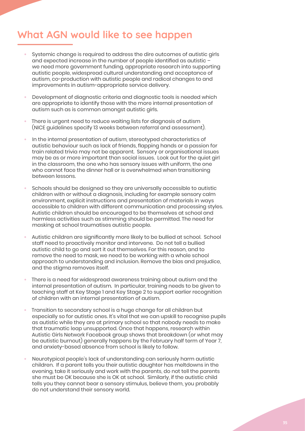# **What AGN would like to see happen**

- **•** Systemic change is required to address the dire outcomes of autistic girls and expected increase in the number of people identified as autistic – we need more government funding, appropriate research into supporting autistic people, widespread cultural understanding and acceptance of autism, co-production with autistic people and radical changes to and improvements in autism-appropriate service delivery.
- **•** Development of diagnostic criteria and diagnostic tools is needed which are appropriate to identify those with the more internal presentation of autism such as is common amongst autistic girls.
- **•** There is urgent need to reduce waiting lists for diagnosis of autism (NICE guidelines specify 13 weeks between referral and assessment).
- **•** In the internal presentation of autism, stereotyped characteristics of autistic behaviour such as lack of friends, flapping hands or a passion for train related trivia may not be apparent. Sensory or organisational issues may be as or more important than social issues. Look out for the quiet girl in the classroom, the one who has sensory issues with uniform, the one who cannot face the dinner hall or is overwhelmed when transitioning between lessons.
- **•** Schools should be designed so they are universally accessible to autistic children with or without a diagnosis, including for example sensory calm environment, explicit instructions and presentation of materials in ways accessible to children with different communication and processing styles. Autistic children should be encouraged to be themselves at school and harmless activities such as stimming should be permitted. The need for masking at school traumatises autistic people.
- **•** Autistic children are significantly more likely to be bullied at school. School staff need to proactively monitor and intervene. Do not tell a bullied autistic child to go and sort it out themselves. For this reason, and to remove the need to mask, we need to be working with a whole school approach to understanding and inclusion. Remove the bias and prejudice, and the stigma removes itself.
- **•** There is a need for widespread awareness training about autism and the internal presentation of autism. In particular, training needs to be given to teaching staff at Key Stage 1 and Key Stage 2 to support earlier recognition of children with an internal presentation of autism.
- **•** Transition to secondary school is a huge change for all children but especially so for autistic ones. It's vital that we can upskill to recognise pupils as autistic while they are at primary school so that nobody needs to make that traumatic leap unsupported. Once that happens, research within Autistic Girls Network Facebook group shows that breakdown (or what may be autistic burnout) generally happens by the February half term of Year 7, and anxiety-based absence from school is likely to follow.
- **•** Neurotypical people's lack of understanding can seriously harm autistic children. If a parent tells you their autistic daughter has meltdowns in the evening, take it seriously and work with the parents, do not tell the parents she must be OK because she is OK at school. Similarly, if the autistic child tells you they cannot bear a sensory stimulus, believe them, you probably do not understand their sensory world.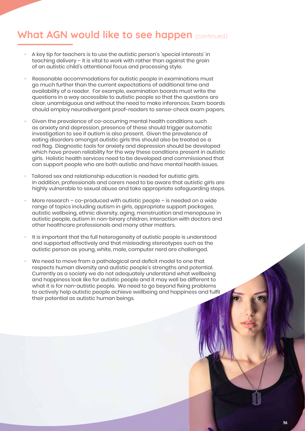# **What AGN would like to see happen** (continued)

- **•** A key tip for teachers is to use the autistic person's 'special interests' in teaching delivery – it is vital to work with rather than against the grain of an autistic child's attentional focus and processing style.
- **•** Reasonable accommodations for autistic people in examinations must go much further than the current expectations of additional time and availability of a reader. For example, examination boards must write the questions in a way accessible to autistic people so that the questions are clear, unambiguous and without the need to make inferences. Exam boards should employ neurodivergent proof-readers to sense-check exam papers.
- **•** Given the prevalence of co-occurring mental health conditions such as anxiety and depression, presence of these should trigger automatic investigation to see if autism is also present. Given the prevalence of eating disorders amongst autistic girls this should also be treated as a red flag. Diagnostic tools for anxiety and depression should be developed which have proven reliability for the way these conditions present in autistic girls. Holistic health services need to be developed and commissioned that can support people who are both autistic and have mental health issues.
- **•** Tailored sex and relationship education is needed for autistic girls. In addition, professionals and carers need to be aware that autistic girls are highly vulnerable to sexual abuse and take appropriate safeguarding steps.
- **•** More research co-produced with autistic people is needed on a wide range of topics including autism in girls, appropriate support packages, autistic wellbeing, ethnic diversity, aging, menstruation and menopause in autistic people, autism in non-binary children, interaction with doctors and other healthcare professionals and many other matters.
- **•** It is important that the full heterogeneity of autistic people is understood and supported effectively and that misleading stereotypes such as the autistic person as young, white, male, computer nerd are challenged.
- **•** We need to move from a pathological and deficit model to one that respects human diversity and autistic people's strengths and potential. Currently as a society we do not adequately understand what wellbeing and happiness look like for autistic people and it may well be different to what it is for non-autistic people. We need to go beyond fixing problems to actively help autistic people achieve wellbeing and happiness and fulfil their potential as autistic human beings.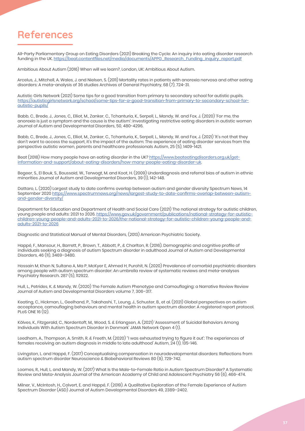# **References**

All-Party Parliamentary Group on Eating Disorders (2021) Breaking the Cycle: An inquiry into eating disorder research funding in the UK. https://beat.contentfiles.net/media/documents/APPG\_Research\_Funding\_inquiry\_report.pdf

Ambitious About Autism (2016) When will we learn?, London, UK: Ambitious About Autism.

Arcelus, J., Mitchell, A. Wales, J. and Nielsen, S. (2011) Mortality rates in patients with anorexia nervosa and other eating disorders: A meta-analysis of 36 studies Archives of General Psychiatry, 68 (7), 724-31.

Autistic Girls Network (2021) Some tips for a good transition from primary to secondary school for autistic pupils. https://autisticgirlsnetwork.org/school/some-tips-for-a-good-transition-from-primary-to-secondary-school-forautistic-pupils/

Babb, C., Brede, J., Jones, C., Elliot, M., Zanker, C., Tchanturia, K., Serpell, L., Mandy, W. and Fox, J. (2020) 'For me, the anorexia is just a symptom and the cause is the autism': Investigating restrictive eating disorders in autistic women Journal of Autism and Developmental Disorders, 50, 480-4296.

Babb, C., Brede, J., Jones, C., Elliot, M., Zanker, C., Tchanturia, K., Serpell, L., Mandy, W. and Fox, J. (2021) 'It's not that they don't want to access the support, it's the impact of the autism: The experience of eating disorder services from the perspective autistic women, parents and healthcare professionals Autism, 25 (5), 1409-1421.

Beat (2018) How many people have an eating disorder in the UK? https://www.beateatingdisorders.org.uk/getinformation-and-support/about-eating-disorders/how-many-people-eating-disorder-uk.

Begeer, S., El Bouk, S., Boussaid, W., Terwogt, M. and Koot, H. (2009) Underdiagnosis and referral bias of autism in ethnic minorities Journal of Autism and Developmental Disorders, 39 (1), 142-148.

Dattaro, L. (2020) Largest study to date confirms overlap between autism and gender diversity Spectrum News, 14 September 2020 https://www.spectrumnews.org/news/largest-study-to-date-confirms-overlap-between-autismand-gender-diversity/

Department for Education and Department of Health and Social Care (2021) The national strategy for autistic children, young people and adults: 2021 to 2026. https://www.gov.uk/government/publications/national-strategy-for-autisticchildren-young-people-and-adults-2021-to-2026/the-national-strategy-for-autistic-children-young-people-andadults-2021-to-2026

Diagnostic and Statistical Manual of Mental Disorders, (2013) American Psychiatric Society.

Happé, F., Mansour, H., Barrett, P., Brown, T., Abbott, P., & Charlton, R. (2016). Demographic and cognitive profile of individuals seeking a diagnosis of autism Spectrum disorder in adulthood Journal of Autism and Developmental Disorders, 46 (11), 3469–3480.

Hossain M, Khan N, Sultana A, Ma P, McKyer E, Ahmed H, Purohit, N. (2020) Prevalence of comorbid psychiatric disorders among people with autism spectrum disorder: An umbrella review of systematic reviews and meta-analyses Psychiatry Research. 287 (5), 112922.

Hull, L., Petrides, K. & Mandy, W. (2020) The Female Autism Phenotype and Camouflaging: a Narrative Review Review Journal of Autism and Developmental Disorders volume 7, 306–317.

Keating, C., Hickman, L., Geelhand, P., Takahashi, T., Leung, J., Schuster, B., et al. (2021) Global perspectives on autism acceptance, camouflaging behaviours and mental health in autism spectrum disorder: A registered report protocol. PLoS ONE 16 (12).

Kõlves, K., Fitzgerald, C., Nordentoft, M., Wood, S. & Erlangsen, A. (2021) 'Assessment of Suicidal Behaviors Among Individuals With Autism Spectrum Disorder in Denmark' JAMA Network Open 4 (1).

Leedham, A., Thompson, A. Smith, R. & Freeth, M. (2020) ''I was exhausted trying to figure it out': The experiences of females receiving an autism diagnosis in middle to late adulthood' Autism, 24 (1), 135-146.

Livingston, L. and Happé, F. (2017) Conceptualising compensation in neurodevelopmental disorders: Reflections from autism spectrum disorder Neuroscience & Biobehavioral Reviews 80 (9), 729-742.

Loomes, R., Hull, L. and Mandy, W. (2017) What Is the Male-to-Female Ratio in Autism Spectrum Disorder? A Systematic Review and Meta-Analysis Journal of the American Academy of Child and Adolescent Psychiatry 56 (6), 466-474.

Milner, V., McIntosh, H., Colvert, E. and Happé, F. (2019). A Qualitative Exploration of the Female Experience of Autism Spectrum Disorder (ASD) Journal of Autism Developmental Disorders 49, 2389–2402.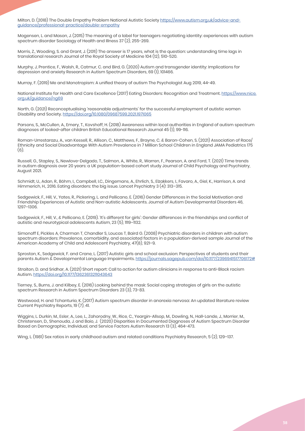Milton, D. (2018) The Double Empathy Problem National Autistic Society https://www.autism.org.uk/advice-andguidance/professional-practice/double-empathy

Mogensen, L. and Mason, J. (2015) The meaning of a label for teenagers negotiating identity: experiences with autism spectrum disorder Sociology of Health and Illness 37 (2), 255-269.

Morris, Z., Wooding, S. and Grant, J. (2011) The answer is 17 years, what is the question: understanding time lags in translational research Journal of the Royal Society of Medicine 104 (12), 510-520.

Murphy, J, Prentice, F., Walsh, R., Catmur, C. and Bird, G. (2020) Autism and transgender identity: Implications for depression and anxiety Research in Autism Spectrum Disorders, 69 (1), 101466.

Murray, F. (2019) Me and Monotropism: A unified theory of autism The Psychologist Aug 2019, 44-49.

National Institute for Health and Care Excellence (2017) Eating Disorders: Recognition and Treatment. https://www.nice. org.uk/guidance/ng69

North, G. (2021) Reconceptualising 'reasonable adjustments' for the successful employment of autistic women Disability and Society. https://doi.org/10.1080/09687599.2021.1971065

Parsons, S., McCullen, A., Emery, T., Kovshoff, H. (2018) Awareness within local authorities in England of autism spectrum diagnoses of looked-after children British Educational Research Journal 45 (1), 99-116.

Roman-Urrestarazu, A., van Kessell, R., Allison, C., Matthews, F., Brayne, C. & Baron-Cohen, S. (2021) Association of Race/ Ethnicity and Social Disadvantage With Autism Prevalence in 7 Million School Children in England JAMA Pediatrics 175 (6).

Russell, G., Stapley, S., Newlove-Delgado, T., Salmon, A., White, R., Warren, F., Pearson, A. and Ford, T. (2021) Time trends in autism diagnosis over 20 years: a UK population-based cohort study Journal of Child Psychology and Psychiatry, August 2021.

Schmidt, U., Adan, R., Böhm, I., Campbell, I.C., Dingemans, A., Ehrlich, S., Elzakkers, I., Favaro, A., Giel, K., Harrison, A. and Himmerich, H., 2016. Eating disorders: the big issue. Lancet Psychiatry 3 (4): 313–315.

Sedgewick, F., Hill, V., Yates, R., Pickering, L. and Pellicano, E. (2016) Gender Differences in the Social Motivation and Friendship Experiences of Autistic and Non-autistic Adolescents. Journal of Autism Developmental Disorders 46, 1297–1306.

Sedgewick, F., Hill, V., & Pellicano, E. (2019). 'It's different for girls': Gender differences in the friendships and conflict of autistic and neurotypical adolescents Autism, 23 (5), 1119–1132.

Simonoff E, Pickles A, Charman T, Chandler S, Loucas T, Baird G. (2008) Psychiatric disorders in children with autism spectrum disorders: Prevalence, comorbidity, and associated factors in a population-derived sample Journal of the American Academy of Child and Adolescent Psychiatry, 47(8), 921–9.

Sproston, K., Sedgewick, F. and Crane, L. (2017) Autistic girls and school exclusion: Perspectives of students and their parents Autism & Developmental Language Impairments. https://journals.sagepub.com/doi/10.1177/2396941517706172#

Straiton, D. and Sridhar, A. (2021) Short report: Call to action for autism clinicians in response to anti-Black racism Autism. https://doi.org/10.1177/13623613211043643

Tierney, S., Burns, J. and Kilbey, E. (2016) Looking behind the mask: Social coping strategies of girls on the autistic spectrum Research in Autism Spectrum Disorders 23 (3), 73-83.

Westwood, H. and Tchanturia, K. (2017) Autism spectrum disorder in anorexia nervosa: An updated literature review Current Psychiatry Reports, 19 (7), 41.

Wiggins, L. Durkin, M., Esler, A., Lee, L., Zahorodny, W., Rice, C., Yeargin-Allsop, M., Dowling, N., Hall-Lande, J., Morrier, M., Christensen, D., Shenouda, J. and Baio, J. (2020) Disparities in Documented Diagnoses of Autism Spectrum Disorder Based on Demographic, Individual, and Service Factors Autism Research 13 (3), 464-473.

Wing, L. (1981) Sex ratios in early childhood autism and related conditions Psychiatry Research, 5 (2), 129–137.